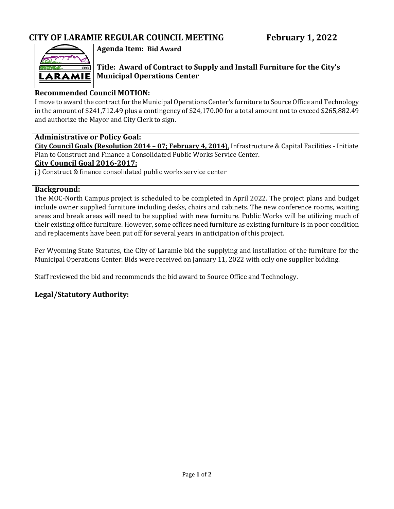

**Agenda Item: Bid Award**

**Title: Award of Contract to Supply and Install Furniture for the City's Municipal Operations Center**

## **Recommended Council MOTION:**

I move to award the contract for the Municipal Operations Center's furniture to Source Office and Technology in the amount of \$241,712.49 plus a contingency of \$24,170.00 for a total amount not to exceed \$265,882.49 and authorize the Mayor and City Clerk to sign.

### **Administrative or Policy Goal:**

**City Council Goals (Resolution 2014 – 07; February 4, 2014**), Infrastructure & Capital Facilities - Initiate Plan to Construct and Finance a Consolidated Public Works Service Center.

### **City Council Goal 2016-2017:**

j.) Construct & finance consolidated public works service center

### **Background:**

The MOC-North Campus project is scheduled to be completed in April 2022. The project plans and budget include owner supplied furniture including desks, chairs and cabinets. The new conference rooms, waiting areas and break areas will need to be supplied with new furniture. Public Works will be utilizing much of their existing office furniture. However, some offices need furniture as existing furniture is in poor condition and replacements have been put off for several years in anticipation of this project.

Per Wyoming State Statutes, the City of Laramie bid the supplying and installation of the furniture for the Municipal Operations Center. Bids were received on January 11, 2022 with only one supplier bidding.

Staff reviewed the bid and recommends the bid award to Source Office and Technology.

### **Legal/Statutory Authority:**